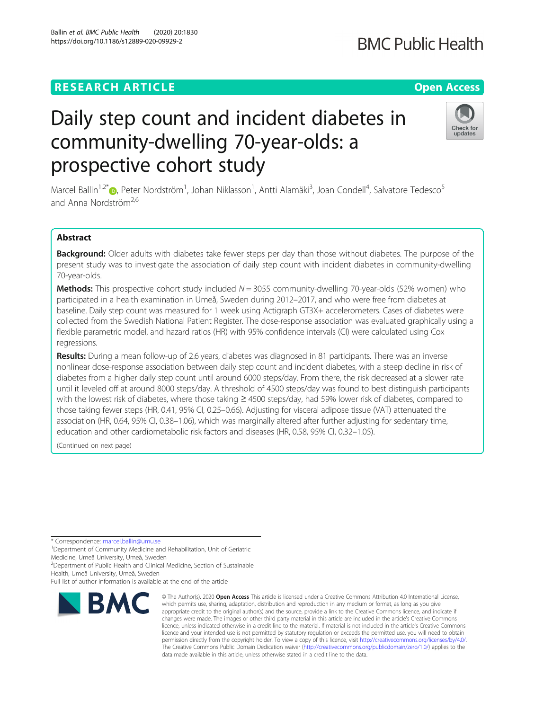# **RESEARCH ARTICLE Example 2014 12:30 The Contract of Contract ACCESS**

# Daily step count and incident diabetes in community-dwelling 70-year-olds: a prospective cohort study

Marcel Ballin<sup>1,2[\\*](http://orcid.org/0000-0002-9638-7208)</sup>®, Peter Nordström<sup>1</sup>, Johan Niklasson<sup>1</sup>, Antti Alamäki<sup>3</sup>, Joan Condell<sup>4</sup>, Salvatore Tedesco<sup>5</sup> and Anna Nordström<sup>2,6</sup>

# Abstract

Background: Older adults with diabetes take fewer steps per day than those without diabetes. The purpose of the present study was to investigate the association of daily step count with incident diabetes in community-dwelling 70-year-olds.

Methods: This prospective cohort study included  $N = 3055$  community-dwelling 70-year-olds (52% women) who participated in a health examination in Umeå, Sweden during 2012–2017, and who were free from diabetes at baseline. Daily step count was measured for 1 week using Actigraph GT3X+ accelerometers. Cases of diabetes were collected from the Swedish National Patient Register. The dose-response association was evaluated graphically using a flexible parametric model, and hazard ratios (HR) with 95% confidence intervals (CI) were calculated using Cox regressions.

Results: During a mean follow-up of 2.6 years, diabetes was diagnosed in 81 participants. There was an inverse nonlinear dose-response association between daily step count and incident diabetes, with a steep decline in risk of diabetes from a higher daily step count until around 6000 steps/day. From there, the risk decreased at a slower rate until it leveled off at around 8000 steps/day. A threshold of 4500 steps/day was found to best distinguish participants with the lowest risk of diabetes, where those taking ≥ 4500 steps/day, had 59% lower risk of diabetes, compared to those taking fewer steps (HR, 0.41, 95% CI, 0.25–0.66). Adjusting for visceral adipose tissue (VAT) attenuated the association (HR, 0.64, 95% CI, 0.38–1.06), which was marginally altered after further adjusting for sedentary time, education and other cardiometabolic risk factors and diseases (HR, 0.58, 95% CI, 0.32–1.05).

(Continued on next page)

\* Correspondence: [marcel.ballin@umu.se](mailto:marcel.ballin@umu.se) <sup>1</sup>

<sup>1</sup> Department of Community Medicine and Rehabilitation. Unit of Geriatric Medicine, Umeå University, Umeå, Sweden

<sup>2</sup>Department of Public Health and Clinical Medicine, Section of Sustainable

Health, Umeå University, Umeå, Sweden



<sup>©</sup> The Author(s), 2020 **Open Access** This article is licensed under a Creative Commons Attribution 4.0 International License, which permits use, sharing, adaptation, distribution and reproduction in any medium or format, as long as you give appropriate credit to the original author(s) and the source, provide a link to the Creative Commons licence, and indicate if changes were made. The images or other third party material in this article are included in the article's Creative Commons licence, unless indicated otherwise in a credit line to the material. If material is not included in the article's Creative Commons licence and your intended use is not permitted by statutory regulation or exceeds the permitted use, you will need to obtain permission directly from the copyright holder. To view a copy of this licence, visit [http://creativecommons.org/licenses/by/4.0/.](http://creativecommons.org/licenses/by/4.0/) The Creative Commons Public Domain Dedication waiver [\(http://creativecommons.org/publicdomain/zero/1.0/](http://creativecommons.org/publicdomain/zero/1.0/)) applies to the data made available in this article, unless otherwise stated in a credit line to the data.





Full list of author information is available at the end of the article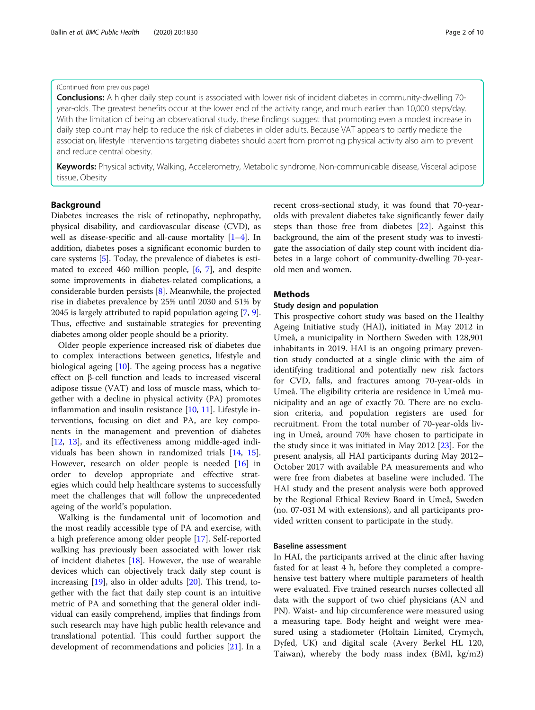## (Continued from previous page)

Conclusions: A higher daily step count is associated with lower risk of incident diabetes in community-dwelling 70year-olds. The greatest benefits occur at the lower end of the activity range, and much earlier than 10,000 steps/day. With the limitation of being an observational study, these findings suggest that promoting even a modest increase in daily step count may help to reduce the risk of diabetes in older adults. Because VAT appears to partly mediate the association, lifestyle interventions targeting diabetes should apart from promoting physical activity also aim to prevent and reduce central obesity.

Keywords: Physical activity, Walking, Accelerometry, Metabolic syndrome, Non-communicable disease, Visceral adipose tissue, Obesity

# Background

Diabetes increases the risk of retinopathy, nephropathy, physical disability, and cardiovascular disease (CVD), as well as disease-specific and all-cause mortality [[1](#page-8-0)–[4](#page-8-0)]. In addition, diabetes poses a significant economic burden to care systems [\[5](#page-8-0)]. Today, the prevalence of diabetes is estimated to exceed 460 million people, [[6](#page-8-0), [7\]](#page-8-0), and despite some improvements in diabetes-related complications, a considerable burden persists [\[8](#page-8-0)]. Meanwhile, the projected rise in diabetes prevalence by 25% until 2030 and 51% by 2045 is largely attributed to rapid population ageing [[7,](#page-8-0) [9](#page-8-0)]. Thus, effective and sustainable strategies for preventing diabetes among older people should be a priority.

Older people experience increased risk of diabetes due to complex interactions between genetics, lifestyle and biological ageing [[10](#page-8-0)]. The ageing process has a negative effect on β-cell function and leads to increased visceral adipose tissue (VAT) and loss of muscle mass, which together with a decline in physical activity (PA) promotes inflammation and insulin resistance [\[10](#page-8-0), [11](#page-8-0)]. Lifestyle interventions, focusing on diet and PA, are key components in the management and prevention of diabetes [[12,](#page-8-0) [13\]](#page-8-0), and its effectiveness among middle-aged individuals has been shown in randomized trials [[14](#page-8-0), [15](#page-8-0)]. However, research on older people is needed [\[16\]](#page-9-0) in order to develop appropriate and effective strategies which could help healthcare systems to successfully meet the challenges that will follow the unprecedented ageing of the world's population.

Walking is the fundamental unit of locomotion and the most readily accessible type of PA and exercise, with a high preference among older people [\[17\]](#page-9-0). Self-reported walking has previously been associated with lower risk of incident diabetes [\[18](#page-9-0)]. However, the use of wearable devices which can objectively track daily step count is increasing [[19\]](#page-9-0), also in older adults [\[20](#page-9-0)]. This trend, together with the fact that daily step count is an intuitive metric of PA and something that the general older individual can easily comprehend, implies that findings from such research may have high public health relevance and translational potential. This could further support the development of recommendations and policies [[21\]](#page-9-0). In a recent cross-sectional study, it was found that 70-yearolds with prevalent diabetes take significantly fewer daily steps than those free from diabetes [\[22](#page-9-0)]. Against this background, the aim of the present study was to investigate the association of daily step count with incident diabetes in a large cohort of community-dwelling 70-yearold men and women.

# Methods

#### Study design and population

This prospective cohort study was based on the Healthy Ageing Initiative study (HAI), initiated in May 2012 in Umeå, a municipality in Northern Sweden with 128,901 inhabitants in 2019. HAI is an ongoing primary prevention study conducted at a single clinic with the aim of identifying traditional and potentially new risk factors for CVD, falls, and fractures among 70-year-olds in Umeå. The eligibility criteria are residence in Umeå municipality and an age of exactly 70. There are no exclusion criteria, and population registers are used for recruitment. From the total number of 70-year-olds living in Umeå, around 70% have chosen to participate in the study since it was initiated in May 2012 [[23](#page-9-0)]. For the present analysis, all HAI participants during May 2012– October 2017 with available PA measurements and who were free from diabetes at baseline were included. The HAI study and the present analysis were both approved by the Regional Ethical Review Board in Umeå, Sweden (no. 07-031 M with extensions), and all participants provided written consent to participate in the study.

#### Baseline assessment

In HAI, the participants arrived at the clinic after having fasted for at least 4 h, before they completed a comprehensive test battery where multiple parameters of health were evaluated. Five trained research nurses collected all data with the support of two chief physicians (AN and PN). Waist- and hip circumference were measured using a measuring tape. Body height and weight were measured using a stadiometer (Holtain Limited, Crymych, Dyfed, UK) and digital scale (Avery Berkel HL 120, Taiwan), whereby the body mass index (BMI, kg/m2)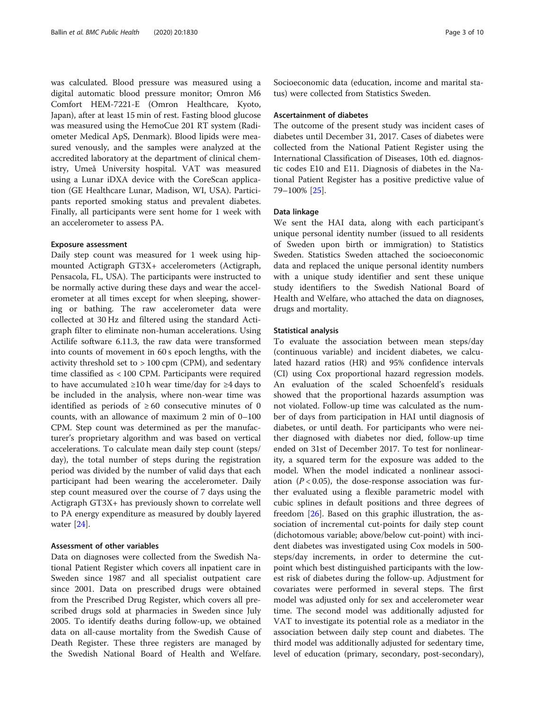was calculated. Blood pressure was measured using a digital automatic blood pressure monitor; Omron M6 Comfort HEM-7221-E (Omron Healthcare, Kyoto, Japan), after at least 15 min of rest. Fasting blood glucose was measured using the HemoCue 201 RT system (Radiometer Medical ApS, Denmark). Blood lipids were measured venously, and the samples were analyzed at the accredited laboratory at the department of clinical chemistry, Umeå University hospital. VAT was measured using a Lunar iDXA device with the CoreScan application (GE Healthcare Lunar, Madison, WI, USA). Participants reported smoking status and prevalent diabetes. Finally, all participants were sent home for 1 week with an accelerometer to assess PA.

## Exposure assessment

Daily step count was measured for 1 week using hipmounted Actigraph GT3X+ accelerometers (Actigraph, Pensacola, FL, USA). The participants were instructed to be normally active during these days and wear the accelerometer at all times except for when sleeping, showering or bathing. The raw accelerometer data were collected at 30 Hz and filtered using the standard Actigraph filter to eliminate non-human accelerations. Using Actilife software 6.11.3, the raw data were transformed into counts of movement in 60 s epoch lengths, with the activity threshold set to > 100 cpm (CPM), and sedentary time classified as < 100 CPM. Participants were required to have accumulated ≥10 h wear time/day for ≥4 days to be included in the analysis, where non-wear time was identified as periods of  $\geq 60$  consecutive minutes of 0 counts, with an allowance of maximum 2 min of 0–100 CPM. Step count was determined as per the manufacturer's proprietary algorithm and was based on vertical accelerations. To calculate mean daily step count (steps/ day), the total number of steps during the registration period was divided by the number of valid days that each participant had been wearing the accelerometer. Daily step count measured over the course of 7 days using the Actigraph GT3X+ has previously shown to correlate well to PA energy expenditure as measured by doubly layered water [\[24](#page-9-0)].

#### Assessment of other variables

Data on diagnoses were collected from the Swedish National Patient Register which covers all inpatient care in Sweden since 1987 and all specialist outpatient care since 2001. Data on prescribed drugs were obtained from the Prescribed Drug Register, which covers all prescribed drugs sold at pharmacies in Sweden since July 2005. To identify deaths during follow-up, we obtained data on all-cause mortality from the Swedish Cause of Death Register. These three registers are managed by the Swedish National Board of Health and Welfare.

Socioeconomic data (education, income and marital status) were collected from Statistics Sweden.

#### Ascertainment of diabetes

The outcome of the present study was incident cases of diabetes until December 31, 2017. Cases of diabetes were collected from the National Patient Register using the International Classification of Diseases, 10th ed. diagnostic codes E10 and E11. Diagnosis of diabetes in the National Patient Register has a positive predictive value of 79–100% [\[25\]](#page-9-0).

#### Data linkage

We sent the HAI data, along with each participant's unique personal identity number (issued to all residents of Sweden upon birth or immigration) to Statistics Sweden. Statistics Sweden attached the socioeconomic data and replaced the unique personal identity numbers with a unique study identifier and sent these unique study identifiers to the Swedish National Board of Health and Welfare, who attached the data on diagnoses, drugs and mortality.

#### Statistical analysis

To evaluate the association between mean steps/day (continuous variable) and incident diabetes, we calculated hazard ratios (HR) and 95% confidence intervals (CI) using Cox proportional hazard regression models. An evaluation of the scaled Schoenfeld's residuals showed that the proportional hazards assumption was not violated. Follow-up time was calculated as the number of days from participation in HAI until diagnosis of diabetes, or until death. For participants who were neither diagnosed with diabetes nor died, follow-up time ended on 31st of December 2017. To test for nonlinearity, a squared term for the exposure was added to the model. When the model indicated a nonlinear association ( $P < 0.05$ ), the dose-response association was further evaluated using a flexible parametric model with cubic splines in default positions and three degrees of freedom [[26](#page-9-0)]. Based on this graphic illustration, the association of incremental cut-points for daily step count (dichotomous variable; above/below cut-point) with incident diabetes was investigated using Cox models in 500 steps/day increments, in order to determine the cutpoint which best distinguished participants with the lowest risk of diabetes during the follow-up. Adjustment for covariates were performed in several steps. The first model was adjusted only for sex and accelerometer wear time. The second model was additionally adjusted for VAT to investigate its potential role as a mediator in the association between daily step count and diabetes. The third model was additionally adjusted for sedentary time, level of education (primary, secondary, post-secondary),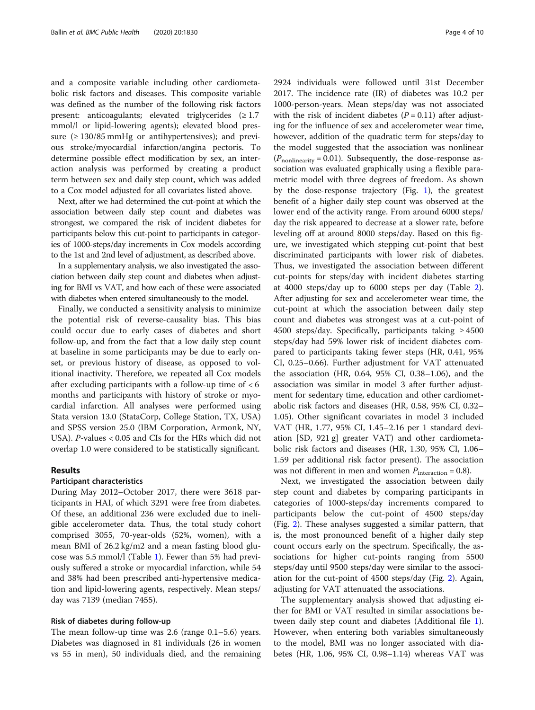and a composite variable including other cardiometabolic risk factors and diseases. This composite variable was defined as the number of the following risk factors present: anticoagulants; elevated triglycerides  $(≥ 1.7)$ mmol/l or lipid-lowering agents); elevated blood pressure  $(≥ 130/85$  mmHg or antihypertensives); and previous stroke/myocardial infarction/angina pectoris. To determine possible effect modification by sex, an interaction analysis was performed by creating a product term between sex and daily step count, which was added to a Cox model adjusted for all covariates listed above.

Next, after we had determined the cut-point at which the association between daily step count and diabetes was strongest, we compared the risk of incident diabetes for participants below this cut-point to participants in categories of 1000-steps/day increments in Cox models according to the 1st and 2nd level of adjustment, as described above.

In a supplementary analysis, we also investigated the association between daily step count and diabetes when adjusting for BMI vs VAT, and how each of these were associated with diabetes when entered simultaneously to the model.

Finally, we conducted a sensitivity analysis to minimize the potential risk of reverse-causality bias. This bias could occur due to early cases of diabetes and short follow-up, and from the fact that a low daily step count at baseline in some participants may be due to early onset, or previous history of disease, as opposed to volitional inactivity. Therefore, we repeated all Cox models after excluding participants with a follow-up time of  $< 6$ months and participants with history of stroke or myocardial infarction. All analyses were performed using Stata version 13.0 (StataCorp, College Station, TX, USA) and SPSS version 25.0 (IBM Corporation, Armonk, NY, USA). P-values < 0.05 and CIs for the HRs which did not overlap 1.0 were considered to be statistically significant.

#### Results

# Participant characteristics

During May 2012–October 2017, there were 3618 participants in HAI, of which 3291 were free from diabetes. Of these, an additional 236 were excluded due to ineligible accelerometer data. Thus, the total study cohort comprised 3055, 70-year-olds (52%, women), with a mean BMI of 26.2 kg/m2 and a mean fasting blood glucose was 5.5 mmol/l (Table [1\)](#page-4-0). Fewer than 5% had previously suffered a stroke or myocardial infarction, while 54 and 38% had been prescribed anti-hypertensive medication and lipid-lowering agents, respectively. Mean steps/ day was 7139 (median 7455).

#### Risk of diabetes during follow-up

The mean follow-up time was 2.6 (range 0.1–5.6) years. Diabetes was diagnosed in 81 individuals (26 in women vs 55 in men), 50 individuals died, and the remaining 2924 individuals were followed until 31st December 2017. The incidence rate (IR) of diabetes was 10.2 per 1000-person-years. Mean steps/day was not associated with the risk of incident diabetes  $(P = 0.11)$  after adjusting for the influence of sex and accelerometer wear time, however, addition of the quadratic term for steps/day to the model suggested that the association was nonlinear  $(P_{nonlinearity} = 0.01)$ . Subsequently, the dose-response association was evaluated graphically using a flexible parametric model with three degrees of freedom. As shown by the dose-response trajectory (Fig. [1\)](#page-5-0), the greatest benefit of a higher daily step count was observed at the lower end of the activity range. From around 6000 steps/ day the risk appeared to decrease at a slower rate, before leveling off at around 8000 steps/day. Based on this figure, we investigated which stepping cut-point that best discriminated participants with lower risk of diabetes. Thus, we investigated the association between different cut-points for steps/day with incident diabetes starting at 4000 steps/day up to 6000 steps per day (Table [2](#page-6-0)). After adjusting for sex and accelerometer wear time, the cut-point at which the association between daily step count and diabetes was strongest was at a cut-point of 4500 steps/day. Specifically, participants taking  $\geq 4500$ steps/day had 59% lower risk of incident diabetes compared to participants taking fewer steps (HR, 0.41, 95% CI, 0.25–0.66). Further adjustment for VAT attenuated the association (HR, 0.64, 95% CI, 0.38–1.06), and the association was similar in model 3 after further adjustment for sedentary time, education and other cardiometabolic risk factors and diseases (HR, 0.58, 95% CI, 0.32– 1.05). Other significant covariates in model 3 included VAT (HR, 1.77, 95% CI, 1.45–2.16 per 1 standard deviation [SD, 921 g] greater VAT) and other cardiometabolic risk factors and diseases (HR, 1.30, 95% CI, 1.06– 1.59 per additional risk factor present). The association was not different in men and women  $P_{\text{interaction}} = 0.8$ ).

Next, we investigated the association between daily step count and diabetes by comparing participants in categories of 1000-steps/day increments compared to participants below the cut-point of 4500 steps/day (Fig. [2\)](#page-6-0). These analyses suggested a similar pattern, that is, the most pronounced benefit of a higher daily step count occurs early on the spectrum. Specifically, the associations for higher cut-points ranging from 5500 steps/day until 9500 steps/day were similar to the association for the cut-point of 4500 steps/day (Fig. [2\)](#page-6-0). Again, adjusting for VAT attenuated the associations.

The supplementary analysis showed that adjusting either for BMI or VAT resulted in similar associations between daily step count and diabetes (Additional file [1](#page-8-0)). However, when entering both variables simultaneously to the model, BMI was no longer associated with diabetes (HR, 1.06, 95% CI, 0.98–1.14) whereas VAT was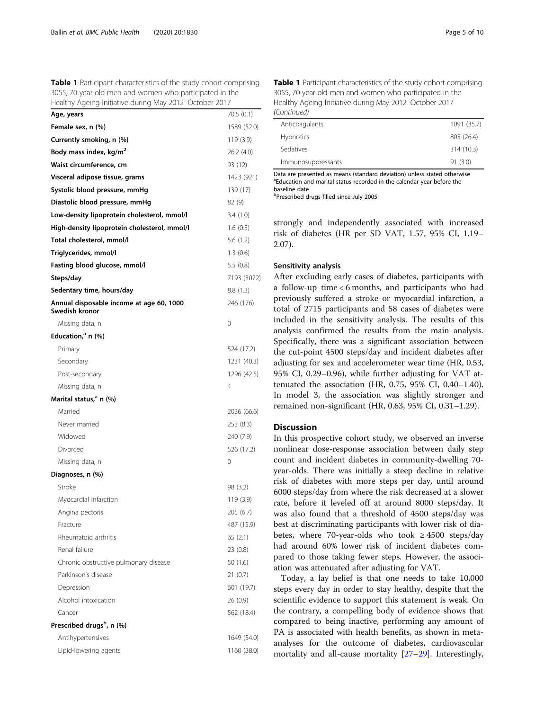<span id="page-4-0"></span>Table 1 Participant characteristics of the study cohort comprising 3055, 70-year-old men and women who participated in the Healthy Ageing Initiative during May 2012–October 2017

| Age, years                                                 | 70.5 (0.1)  |
|------------------------------------------------------------|-------------|
| Female sex, n (%)                                          | 1589 (52.0) |
| Currently smoking, n (%)                                   | 119 (3.9)   |
| Body mass index, kg/m <sup>2</sup>                         | 26.2(4.0)   |
| Waist circumference, cm                                    | 93 (12)     |
| Visceral adipose tissue, grams                             | 1423 (921)  |
| Systolic blood pressure, mmHg                              | 139 (17)    |
| Diastolic blood pressure, mmHg                             | 82 (9)      |
| Low-density lipoprotein cholesterol, mmol/l                | 3.4(1.0)    |
| High-density lipoprotein cholesterol, mmol/l               | 1.6(0.5)    |
| Total cholesterol, mmol/l                                  | 5.6 (1.2)   |
| Triglycerides, mmol/l                                      | 1.3(0.6)    |
| Fasting blood glucose, mmol/l                              | 5.5(0.8)    |
| Steps/day                                                  | 7193 (3072) |
| Sedentary time, hours/day                                  | 8.8(1.3)    |
| Annual disposable income at age 60, 1000<br>Swedish kronor | 246 (176)   |
| Missing data, n                                            | 0           |
| Education, $a$ n (%)                                       |             |
| Primary                                                    | 524 (17.2)  |
| Secondary                                                  | 1231 (40.3) |
| Post-secondary                                             | 1296 (42.5) |
| Missing data, n                                            | 4           |
| Marital status, <sup>a</sup> n (%)                         |             |
| Married                                                    | 2036 (66.6) |
| Never married                                              | 253 (8.3)   |
| Widowed                                                    | 240 (7.9)   |
| Divorced                                                   | 526 (17.2)  |
| Missing data, n                                            | 0           |
| Diagnoses, n (%)                                           |             |
| Stroke                                                     | 98 (3.2)    |
| Myocardial infarction                                      | 119 (3.9)   |
| Angina pectoris                                            | 205 (6.7)   |
| Fracture                                                   | 487 (15.9)  |
| Rheumatoid arthritis                                       | 65(2.1)     |
| Renal failure                                              | 23(0.8)     |
| Chronic obstructive pulmonary disease                      | 50 (1.6)    |
| Parkinson's disease                                        | 21(0.7)     |
| Depression                                                 | 601 (19.7)  |
|                                                            |             |
| Alcohol intoxication                                       | 26(0.9)     |
| Cancer                                                     | 562 (18.4)  |
| Prescribed drugs <sup>b</sup> , n (%)                      |             |
| Antihypertensives                                          | 1649 (54.0) |

| <b>Table 1</b> Participant characteristics of the study cohort comprising |
|---------------------------------------------------------------------------|
| 3055, 70-year-old men and women who participated in the                   |
| Healthy Ageing Initiative during May 2012-October 2017                    |
| (Continued)                                                               |

| Anticoagulants     | 1091 (35.7) |
|--------------------|-------------|
| <b>Hypnotics</b>   | 805 (26.4)  |
| Sedatives          | 314 (10.3)  |
| Immunosuppressants | 91(3.0)     |

Data are presented as means (standard deviation) unless stated otherwise <sup>a</sup>Education and marital status recorded in the calendar year before the baseline date

b Prescribed drugs filled since July 2005

strongly and independently associated with increased risk of diabetes (HR per SD VAT, 1.57, 95% CI, 1.19– 2.07).

#### Sensitivity analysis

After excluding early cases of diabetes, participants with a follow-up time < 6 months, and participants who had previously suffered a stroke or myocardial infarction, a total of 2715 participants and 58 cases of diabetes were included in the sensitivity analysis. The results of this analysis confirmed the results from the main analysis. Specifically, there was a significant association between the cut-point 4500 steps/day and incident diabetes after adjusting for sex and accelerometer wear time (HR, 0.53, 95% CI, 0.29–0.96), while further adjusting for VAT attenuated the association (HR, 0.75, 95% CI, 0.40–1.40). In model 3, the association was slightly stronger and remained non-significant (HR, 0.63, 95% CI, 0.31–1.29).

# **Discussion**

In this prospective cohort study, we observed an inverse nonlinear dose-response association between daily step count and incident diabetes in community-dwelling 70 year-olds. There was initially a steep decline in relative risk of diabetes with more steps per day, until around 6000 steps/day from where the risk decreased at a slower rate, before it leveled off at around 8000 steps/day. It was also found that a threshold of 4500 steps/day was best at discriminating participants with lower risk of diabetes, where 70-year-olds who took  $\geq 4500$  steps/day had around 60% lower risk of incident diabetes compared to those taking fewer steps. However, the association was attenuated after adjusting for VAT.

Today, a lay belief is that one needs to take 10,000 steps every day in order to stay healthy, despite that the scientific evidence to support this statement is weak. On the contrary, a compelling body of evidence shows that compared to being inactive, performing any amount of PA is associated with health benefits, as shown in metaanalyses for the outcome of diabetes, cardiovascular mortality and all-cause mortality [\[27](#page-9-0)–[29\]](#page-9-0). Interestingly,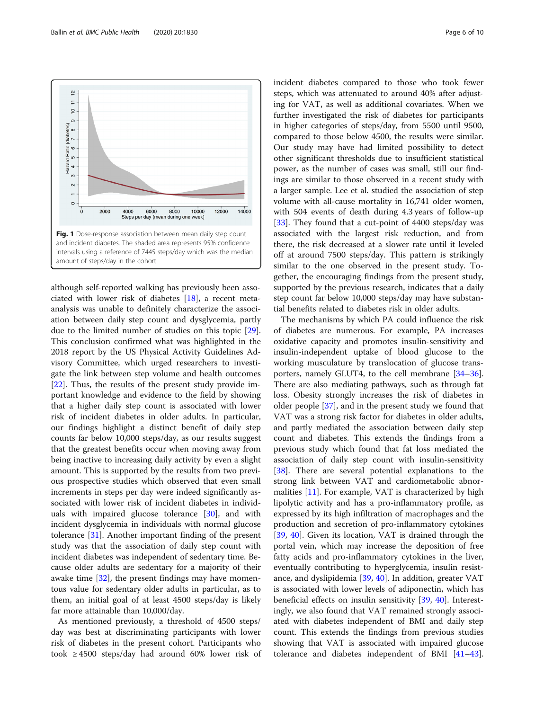although self-reported walking has previously been associated with lower risk of diabetes [[18\]](#page-9-0), a recent metaanalysis was unable to definitely characterize the association between daily step count and dysglycemia, partly due to the limited number of studies on this topic [\[29](#page-9-0)]. This conclusion confirmed what was highlighted in the 2018 report by the US Physical Activity Guidelines Advisory Committee, which urged researchers to investigate the link between step volume and health outcomes [[22\]](#page-9-0). Thus, the results of the present study provide important knowledge and evidence to the field by showing that a higher daily step count is associated with lower risk of incident diabetes in older adults. In particular, our findings highlight a distinct benefit of daily step counts far below 10,000 steps/day, as our results suggest that the greatest benefits occur when moving away from being inactive to increasing daily activity by even a slight amount. This is supported by the results from two previous prospective studies which observed that even small increments in steps per day were indeed significantly associated with lower risk of incident diabetes in individuals with impaired glucose tolerance [[30\]](#page-9-0), and with incident dysglycemia in individuals with normal glucose tolerance [[31\]](#page-9-0). Another important finding of the present study was that the association of daily step count with incident diabetes was independent of sedentary time. Because older adults are sedentary for a majority of their awake time  $[32]$  $[32]$ , the present findings may have momentous value for sedentary older adults in particular, as to them, an initial goal of at least 4500 steps/day is likely

As mentioned previously, a threshold of 4500 steps/ day was best at discriminating participants with lower risk of diabetes in the present cohort. Participants who took ≥ 4500 steps/day had around 60% lower risk of

far more attainable than 10,000/day.

incident diabetes compared to those who took fewer steps, which was attenuated to around 40% after adjusting for VAT, as well as additional covariates. When we further investigated the risk of diabetes for participants in higher categories of steps/day, from 5500 until 9500, compared to those below 4500, the results were similar. Our study may have had limited possibility to detect other significant thresholds due to insufficient statistical power, as the number of cases was small, still our findings are similar to those observed in a recent study with a larger sample. Lee et al. studied the association of step volume with all-cause mortality in 16,741 older women, with 504 events of death during 4.3 years of follow-up [[33\]](#page-9-0). They found that a cut-point of 4400 steps/day was associated with the largest risk reduction, and from there, the risk decreased at a slower rate until it leveled off at around 7500 steps/day. This pattern is strikingly similar to the one observed in the present study. Together, the encouraging findings from the present study, supported by the previous research, indicates that a daily step count far below 10,000 steps/day may have substantial benefits related to diabetes risk in older adults.

The mechanisms by which PA could influence the risk of diabetes are numerous. For example, PA increases oxidative capacity and promotes insulin-sensitivity and insulin-independent uptake of blood glucose to the working musculature by translocation of glucose transporters, namely GLUT4, to the cell membrane [[34](#page-9-0)–[36](#page-9-0)]. There are also mediating pathways, such as through fat loss. Obesity strongly increases the risk of diabetes in older people [\[37](#page-9-0)], and in the present study we found that VAT was a strong risk factor for diabetes in older adults, and partly mediated the association between daily step count and diabetes. This extends the findings from a previous study which found that fat loss mediated the association of daily step count with insulin-sensitivity [[38\]](#page-9-0). There are several potential explanations to the strong link between VAT and cardiometabolic abnormalities [[11\]](#page-8-0). For example, VAT is characterized by high lipolytic activity and has a pro-inflammatory profile, as expressed by its high infiltration of macrophages and the production and secretion of pro-inflammatory cytokines [[39,](#page-9-0) [40](#page-9-0)]. Given its location, VAT is drained through the portal vein, which may increase the deposition of free fatty acids and pro-inflammatory cytokines in the liver, eventually contributing to hyperglycemia, insulin resistance, and dyslipidemia [[39](#page-9-0), [40](#page-9-0)]. In addition, greater VAT is associated with lower levels of adiponectin, which has beneficial effects on insulin sensitivity [\[39](#page-9-0), [40\]](#page-9-0). Interestingly, we also found that VAT remained strongly associated with diabetes independent of BMI and daily step count. This extends the findings from previous studies showing that VAT is associated with impaired glucose tolerance and diabetes independent of BMI [[41](#page-9-0)–[43](#page-9-0)].

 $4456$  (diabetes)<br>4 5 6 7 8 9  $\sim$  $\sim$  $\circ$  $\dot{\mathbf{o}}$ 2000 4000 6000 8000 10000 12000 14000 Steps per day (mean during one we Fig. 1 Dose-response association between mean daily step count and incident diabetes. The shaded area represents 95% confidence intervals using a reference of 7445 steps/day which was the median amount of steps/day in the cohort

<span id="page-5-0"></span> $\tilde{a}$  $\overline{\mathbb{H}}$  $\overline{c}$ 

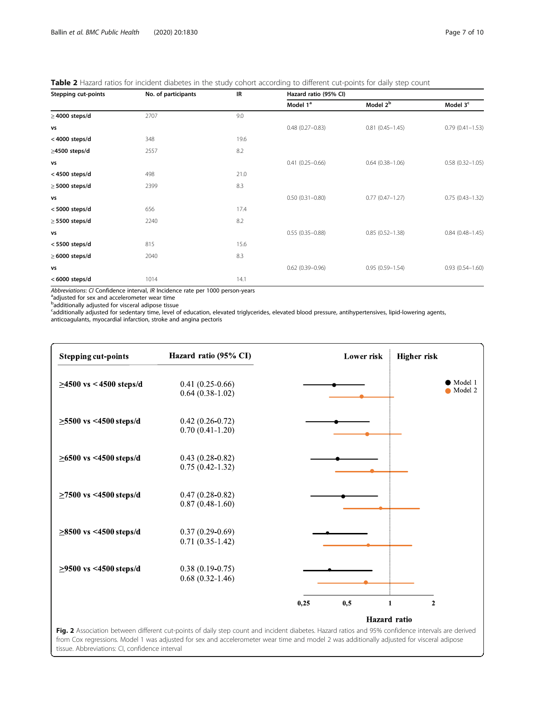<span id="page-6-0"></span>

| <b>Stepping cut-points</b> | No. of participants | IR   | Hazard ratio (95% CI) |                        |                      |
|----------------------------|---------------------|------|-----------------------|------------------------|----------------------|
|                            |                     |      | Model 1 <sup>ª</sup>  | Model 2 <sup>b</sup>   | Model 3 <sup>c</sup> |
| $\geq$ 4000 steps/d        | 2707                | 9.0  |                       |                        |                      |
| vs                         |                     |      | $0.48(0.27 - 0.83)$   | $0.81(0.45 - 1.45)$    | $0.79(0.41 - 1.53)$  |
| $< 4000$ steps/d           | 348                 | 19.6 |                       |                        |                      |
| $\geq$ 4500 steps/d        | 2557                | 8.2  |                       |                        |                      |
| vs                         |                     |      | $0.41(0.25 - 0.66)$   | $0.64(0.38 - 1.06)$    | $0.58(0.32 - 1.05)$  |
| $<$ 4500 steps/d           | 498                 | 21.0 |                       |                        |                      |
| $\geq$ 5000 steps/d        | 2399                | 8.3  |                       |                        |                      |
| vs                         |                     |      | $0.50(0.31 - 0.80)$   | $0.77$ $(0.47 - 1.27)$ | $0.75(0.43 - 1.32)$  |
| $<$ 5000 steps/d           | 656                 | 17.4 |                       |                        |                      |
| $\geq$ 5500 steps/d        | 2240                | 8.2  |                       |                        |                      |
| vs                         |                     |      | $0.55(0.35 - 0.88)$   | $0.85(0.52 - 1.38)$    | $0.84(0.48 - 1.45)$  |
| $<$ 5500 steps/d           | 815                 | 15.6 |                       |                        |                      |
| $\geq 6000$ steps/d        | 2040                | 8.3  |                       |                        |                      |
| vs                         |                     |      | $0.62(0.39 - 0.96)$   | $0.95(0.59 - 1.54)$    | $0.93(0.54 - 1.60)$  |
| $< 6000$ steps/d           | 1014                | 14.1 |                       |                        |                      |

Abbreviations: CI Confidence interval, IR Incidence rate per 1000 person-years

<sup>a</sup>adjusted for sex and accelerometer wear time<br><sup>b</sup>additionally adjusted for visceral adipose tissue

<sup>c</sup>additionally adjusted for sedentary time, level of education, elevated triglycerides, elevated blood pressure, antihypertensives, lipid-lowering agents, anticoagulants, myocardial infarction, stroke and angina pectoris



Fig. 2 Association between different cut-points of daily step count and incident diabetes. Hazard ratios and 95% confidence intervals are derived from Cox regressions. Model 1 was adjusted for sex and accelerometer wear time and model 2 was additionally adjusted for visceral adipose tissue. Abbreviations: CI, confidence interval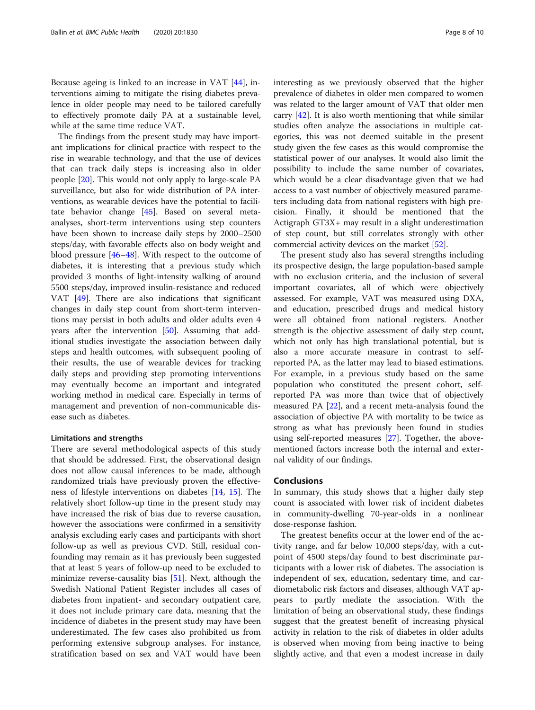Because ageing is linked to an increase in VAT [\[44](#page-9-0)], interventions aiming to mitigate the rising diabetes prevalence in older people may need to be tailored carefully to effectively promote daily PA at a sustainable level, while at the same time reduce VAT.

The findings from the present study may have important implications for clinical practice with respect to the rise in wearable technology, and that the use of devices that can track daily steps is increasing also in older people [[20\]](#page-9-0). This would not only apply to large-scale PA surveillance, but also for wide distribution of PA interventions, as wearable devices have the potential to facilitate behavior change [[45](#page-9-0)]. Based on several metaanalyses, short-term interventions using step counters have been shown to increase daily steps by 2000–2500 steps/day, with favorable effects also on body weight and blood pressure [\[46](#page-9-0)–[48\]](#page-9-0). With respect to the outcome of diabetes, it is interesting that a previous study which provided 3 months of light-intensity walking of around 5500 steps/day, improved insulin-resistance and reduced VAT [[49\]](#page-9-0). There are also indications that significant changes in daily step count from short-term interventions may persist in both adults and older adults even 4 years after the intervention [[50\]](#page-9-0). Assuming that additional studies investigate the association between daily steps and health outcomes, with subsequent pooling of their results, the use of wearable devices for tracking daily steps and providing step promoting interventions may eventually become an important and integrated working method in medical care. Especially in terms of management and prevention of non-communicable disease such as diabetes.

#### Limitations and strengths

There are several methodological aspects of this study that should be addressed. First, the observational design does not allow causal inferences to be made, although randomized trials have previously proven the effectiveness of lifestyle interventions on diabetes [[14](#page-8-0), [15\]](#page-8-0). The relatively short follow-up time in the present study may have increased the risk of bias due to reverse causation, however the associations were confirmed in a sensitivity analysis excluding early cases and participants with short follow-up as well as previous CVD. Still, residual confounding may remain as it has previously been suggested that at least 5 years of follow-up need to be excluded to minimize reverse-causality bias  $[51]$  $[51]$ . Next, although the Swedish National Patient Register includes all cases of diabetes from inpatient- and secondary outpatient care, it does not include primary care data, meaning that the incidence of diabetes in the present study may have been underestimated. The few cases also prohibited us from performing extensive subgroup analyses. For instance, stratification based on sex and VAT would have been interesting as we previously observed that the higher prevalence of diabetes in older men compared to women was related to the larger amount of VAT that older men carry [[42\]](#page-9-0). It is also worth mentioning that while similar studies often analyze the associations in multiple categories, this was not deemed suitable in the present study given the few cases as this would compromise the statistical power of our analyses. It would also limit the possibility to include the same number of covariates, which would be a clear disadvantage given that we had access to a vast number of objectively measured parameters including data from national registers with high precision. Finally, it should be mentioned that the Actigraph GT3X+ may result in a slight underestimation of step count, but still correlates strongly with other commercial activity devices on the market [[52\]](#page-9-0).

The present study also has several strengths including its prospective design, the large population-based sample with no exclusion criteria, and the inclusion of several important covariates, all of which were objectively assessed. For example, VAT was measured using DXA, and education, prescribed drugs and medical history were all obtained from national registers. Another strength is the objective assessment of daily step count, which not only has high translational potential, but is also a more accurate measure in contrast to selfreported PA, as the latter may lead to biased estimations. For example, in a previous study based on the same population who constituted the present cohort, selfreported PA was more than twice that of objectively measured PA [\[22](#page-9-0)], and a recent meta-analysis found the association of objective PA with mortality to be twice as strong as what has previously been found in studies using self-reported measures [[27\]](#page-9-0). Together, the abovementioned factors increase both the internal and external validity of our findings.

# Conclusions

In summary, this study shows that a higher daily step count is associated with lower risk of incident diabetes in community-dwelling 70-year-olds in a nonlinear dose-response fashion.

The greatest benefits occur at the lower end of the activity range, and far below 10,000 steps/day, with a cutpoint of 4500 steps/day found to best discriminate participants with a lower risk of diabetes. The association is independent of sex, education, sedentary time, and cardiometabolic risk factors and diseases, although VAT appears to partly mediate the association. With the limitation of being an observational study, these findings suggest that the greatest benefit of increasing physical activity in relation to the risk of diabetes in older adults is observed when moving from being inactive to being slightly active, and that even a modest increase in daily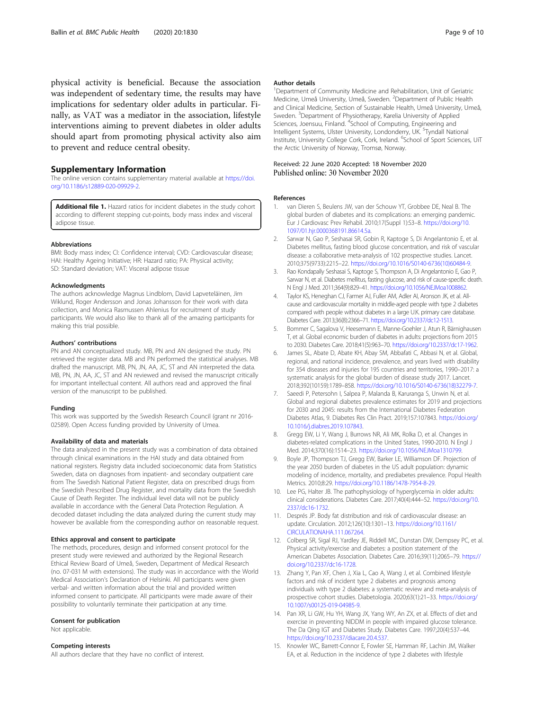<span id="page-8-0"></span>physical activity is beneficial. Because the association was independent of sedentary time, the results may have implications for sedentary older adults in particular. Finally, as VAT was a mediator in the association, lifestyle interventions aiming to prevent diabetes in older adults should apart from promoting physical activity also aim to prevent and reduce central obesity.

#### Supplementary Information

The online version contains supplementary material available at [https://doi.](https://doi.org/10.1186/s12889-020-09929-2) [org/10.1186/s12889-020-09929-2.](https://doi.org/10.1186/s12889-020-09929-2)

Additional file 1. Hazard ratios for incident diabetes in the study cohort according to different stepping cut-points, body mass index and visceral adipose tissue.

#### **Abbreviations**

BMI: Body mass index; CI: Confidence interval; CVD: Cardiovascular disease; HAI: Healthy Ageing Initiative; HR: Hazard ratio; PA: Physical activity; SD: Standard deviation; VAT: Visceral adipose tissue

#### Acknowledgments

The authors acknowledge Magnus Lindblom, David Lapveteläinen, Jim Wiklund, Roger Andersson and Jonas Johansson for their work with data collection, and Monica Rasmussen Ahlenius for recruitment of study participants. We would also like to thank all of the amazing participants for making this trial possible.

#### Authors' contributions

PN and AN conceptualized study. MB, PN and AN designed the study. PN retrieved the register data. MB and PN performed the statistical analyses. MB drafted the manuscript. MB, PN, JN, AA, JC, ST and AN interpreted the data. MB, PN, JN, AA, JC, ST and AN reviewed and revised the manuscript critically for important intellectual content. All authors read and approved the final version of the manuscript to be published.

#### Funding

This work was supported by the Swedish Research Council (grant nr 2016- 02589). Open Access funding provided by University of Umea.

#### Availability of data and materials

The data analyzed in the present study was a combination of data obtained through clinical examinations in the HAI study and data obtained from national registers. Registry data included socioeconomic data from Statistics Sweden, data on diagnoses from inpatient- and secondary outpatient care from The Swedish National Patient Register, data on prescribed drugs from the Swedish Prescribed Drug Register, and mortality data from the Swedish Cause of Death Register. The individual level data will not be publicly available in accordance with the General Data Protection Regulation. A decoded dataset including the data analyzed during the current study may however be available from the corresponding author on reasonable request.

#### Ethics approval and consent to participate

The methods, procedures, design and informed consent protocol for the present study were reviewed and authorized by the Regional Research Ethical Review Board of Umeå, Sweden, Department of Medical Research (no. 07-031 M with extensions). The study was in accordance with the World Medical Association's Declaration of Helsinki. All participants were given verbal- and written information about the trial and provided written informed consent to participate. All participants were made aware of their possibility to voluntarily terminate their participation at any time.

#### Consent for publication

Not applicable.

# Competing interests

All authors declare that they have no conflict of interest.

#### Author details

<sup>1</sup>Department of Community Medicine and Rehabilitation, Unit of Geriatric Medicine, Umeå University, Umeå, Sweden. <sup>2</sup>Department of Public Health and Clinical Medicine, Section of Sustainable Health, Umeå University, Umeå, Sweden. <sup>3</sup>Department of Physiotherapy, Karelia University of Applied Sciences, Joensuu, Finland. <sup>4</sup>School of Computing, Engineering and Intelligent Systems, Ulster University, Londonderry, UK. <sup>5</sup>Tyndall National Institute, University College Cork, Cork, Ireland. <sup>6</sup>School of Sport Sciences, UiT the Arctic University of Norway, Tromsø, Norway.

#### Received: 22 June 2020 Accepted: 18 November 2020 Published online: 30 November 2020

#### References

- 1. van Dieren S, Beulens JW, van der Schouw YT, Grobbee DE, Neal B. The global burden of diabetes and its complications: an emerging pandemic. Eur J Cardiovasc Prev Rehabil. 2010;17(Suppl 1):S3–8. [https://doi.org/10.](https://doi.org/10.1097/01.hjr.0000368191.86614.5a) [1097/01.hjr.0000368191.86614.5a.](https://doi.org/10.1097/01.hjr.0000368191.86614.5a)
- 2. Sarwar N, Gao P, Seshasai SR, Gobin R, Kaptoge S, Di Angelantonio E, et al. Diabetes mellitus, fasting blood glucose concentration, and risk of vascular disease: a collaborative meta-analysis of 102 prospective studies. Lancet. 2010;375(9733):2215–22. [https://doi.org/10.1016/S0140-6736\(10\)60484-9.](https://doi.org/10.1016/S0140-6736(10)60484-9)
- 3. Rao Kondapally Seshasai S, Kaptoge S, Thompson A, Di Angelantonio E, Gao P, Sarwar N, et al. Diabetes mellitus, fasting glucose, and risk of cause-specific death. N Engl J Med. 2011;364(9):829–41. <https://doi.org/10.1056/NEJMoa1008862>.
- 4. Taylor KS, Heneghan CJ, Farmer AJ, Fuller AM, Adler AI, Aronson JK, et al. Allcause and cardiovascular mortality in middle-aged people with type 2 diabetes compared with people without diabetes in a large U.K. primary care database. Diabetes Care. 2013;36(8):2366–71. [https://doi.org/10.2337/dc12-1513.](https://doi.org/10.2337/dc12-1513)
- 5. Bommer C, Sagalova V, Heesemann E, Manne-Goehler J, Atun R, Bärnighausen T, et al. Global economic burden of diabetes in adults: projections from 2015 to 2030. Diabetes Care. 2018;41(5):963–70. [https://doi.org/10.2337/dc17-1962.](https://doi.org/10.2337/dc17-1962)
- 6. James SL, Abate D, Abate KH, Abay SM, Abbafati C, Abbasi N, et al. Global, regional, and national incidence, prevalence, and years lived with disability for 354 diseases and injuries for 195 countries and territories, 1990–2017: a systematic analysis for the global burden of disease study 2017. Lancet. 2018;392(10159):1789–858. [https://doi.org/10.1016/S0140-6736\(18\)32279-7](https://doi.org/10.1016/S0140-6736(18)32279-7).
- 7. Saeedi P, Petersohn I, Salpea P, Malanda B, Karuranga S, Unwin N, et al. Global and regional diabetes prevalence estimates for 2019 and projections for 2030 and 2045: results from the International Diabetes Federation Diabetes Atlas, 9. Diabetes Res Clin Pract. 2019;157:107843. [https://doi.org/](https://doi.org/10.1016/j.diabres.2019.107843) [10.1016/j.diabres.2019.107843](https://doi.org/10.1016/j.diabres.2019.107843).
- Gregg EW, Li Y, Wang J, Burrows NR, Ali MK, Rolka D, et al. Changes in diabetes-related complications in the United States, 1990-2010. N Engl J Med. 2014;370(16):1514–23. [https://doi.org/10.1056/NEJMoa1310799.](https://doi.org/10.1056/NEJMoa1310799)
- Boyle JP, Thompson TJ, Gregg EW, Barker LE, Williamson DF. Projection of the year 2050 burden of diabetes in the US adult population: dynamic modeling of incidence, mortality, and prediabetes prevalence. Popul Health Metrics. 2010;8:29. [https://doi.org/10.1186/1478-7954-8-29.](https://doi.org/10.1186/1478-7954-8-29)
- 10. Lee PG, Halter JB. The pathophysiology of hyperglycemia in older adults: clinical considerations. Diabetes Care. 2017;40(4):444–52. [https://doi.org/10.](https://doi.org/10.2337/dc16-1732) [2337/dc16-1732](https://doi.org/10.2337/dc16-1732).
- 11. Després JP. Body fat distribution and risk of cardiovascular disease: an update. Circulation. 2012;126(10):1301–13. [https://doi.org/10.1161/](https://doi.org/10.1161/CIRCULATIONAHA.111.067264) [CIRCULATIONAHA.111.067264](https://doi.org/10.1161/CIRCULATIONAHA.111.067264).
- 12. Colberg SR, Sigal RJ, Yardley JE, Riddell MC, Dunstan DW, Dempsey PC, et al. Physical activity/exercise and diabetes: a position statement of the American Diabetes Association. Diabetes Care. 2016;39(11):2065–79. [https://](https://doi.org/10.2337/dc16-1728) [doi.org/10.2337/dc16-1728.](https://doi.org/10.2337/dc16-1728)
- 13. Zhang Y, Pan XF, Chen J, Xia L, Cao A, Wang J, et al. Combined lifestyle factors and risk of incident type 2 diabetes and prognosis among individuals with type 2 diabetes: a systematic review and meta-analysis of prospective cohort studies. Diabetologia. 2020;63(1):21–33. [https://doi.org/](https://doi.org/10.1007/s00125-019-04985-9) [10.1007/s00125-019-04985-9](https://doi.org/10.1007/s00125-019-04985-9).
- 14. Pan XR, Li GW, Hu YH, Wang JX, Yang WY, An ZX, et al. Effects of diet and exercise in preventing NIDDM in people with impaired glucose tolerance. The Da Qing IGT and Diabetes Study. Diabetes Care. 1997;20(4):537–44. <https://doi.org/10.2337/diacare.20.4.537>.
- 15. Knowler WC, Barrett-Connor E, Fowler SE, Hamman RF, Lachin JM, Walker EA, et al. Reduction in the incidence of type 2 diabetes with lifestyle